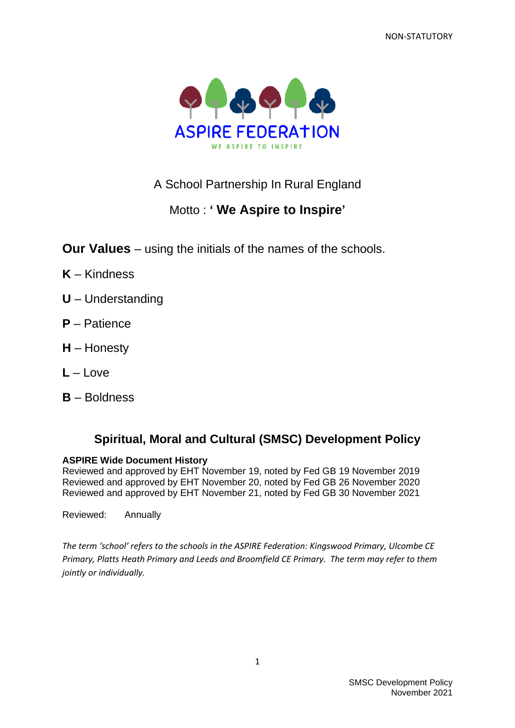NON-STATUTORY



A School Partnership In Rural England

# Motto : **' We Aspire to Inspire'**

**Our Values** – using the initials of the names of the schools.

- **K** Kindness
- **U** Understanding
- **P** Patience
- **H** Honesty
- **L** Love
- **B** Boldness

## **Spiritual, Moral and Cultural (SMSC) Development Policy**

#### **ASPIRE Wide Document History**

Reviewed and approved by EHT November 19, noted by Fed GB 19 November 2019 Reviewed and approved by EHT November 20, noted by Fed GB 26 November 2020 Reviewed and approved by EHT November 21, noted by Fed GB 30 November 2021

Reviewed: Annually

*The term 'school' refers to the schools in the ASPIRE Federation: Kingswood Primary, Ulcombe CE Primary, Platts Heath Primary and Leeds and Broomfield CE Primary. The term may refer to them jointly or individually.*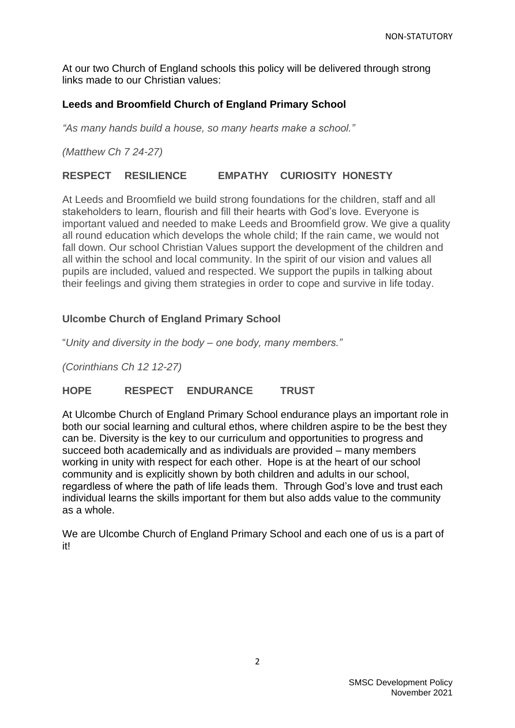At our two Church of England schools this policy will be delivered through strong links made to our Christian values:

## **Leeds and Broomfield Church of England Primary School**

*"As many hands build a house, so many hearts make a school."*

*(Matthew Ch 7 24-27)*

## **RESPECT RESILIENCE EMPATHY CURIOSITY HONESTY**

At Leeds and Broomfield we build strong foundations for the children, staff and all stakeholders to learn, flourish and fill their hearts with God's love. Everyone is important valued and needed to make Leeds and Broomfield grow. We give a quality all round education which develops the whole child; If the rain came, we would not fall down. Our school Christian Values support the development of the children and all within the school and local community. In the spirit of our vision and values all pupils are included, valued and respected. We support the pupils in talking about their feelings and giving them strategies in order to cope and survive in life today.

## **Ulcombe Church of England Primary School**

"*Unity and diversity in the body – one body, many members."*

*(Corinthians Ch 12 12-27)*

## **HOPE RESPECT ENDURANCE TRUST**

At Ulcombe Church of England Primary School endurance plays an important role in both our social learning and cultural ethos, where children aspire to be the best they can be. Diversity is the key to our curriculum and opportunities to progress and succeed both academically and as individuals are provided – many members working in unity with respect for each other. Hope is at the heart of our school community and is explicitly shown by both children and adults in our school, regardless of where the path of life leads them. Through God's love and trust each individual learns the skills important for them but also adds value to the community as a whole.

We are Ulcombe Church of England Primary School and each one of us is a part of it!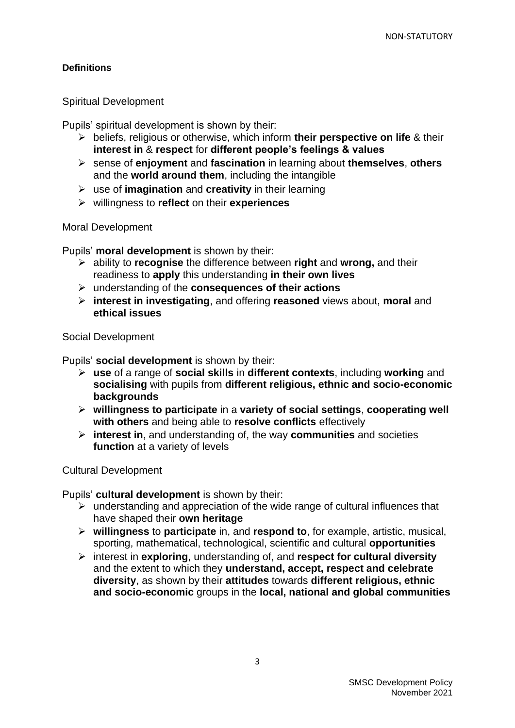#### **Definitions**

#### Spiritual Development

Pupils' spiritual development is shown by their:

- ➢ beliefs, religious or otherwise, which inform **their perspective on life** & their **interest in** & **respect** for **different people's feelings & values**
- ➢ sense of **enjoyment** and **fascination** in learning about **themselves**, **others**  and the **world around them**, including the intangible
- ➢ use of **imagination** and **creativity** in their learning
- ➢ willingness to **reflect** on their **experiences**

#### Moral Development

Pupils' **moral development** is shown by their:

- ➢ ability to **recognise** the difference between **right** and **wrong,** and their readiness to **apply** this understanding **in their own lives**
- ➢ understanding of the **consequences of their actions**
- ➢ **interest in investigating**, and offering **reasoned** views about, **moral** and **ethical issues**

Social Development

Pupils' **social development** is shown by their:

- ➢ **use** of a range of **social skills** in **different contexts**, including **working** and **socialising** with pupils from **different religious, ethnic and socio-economic backgrounds**
- ➢ **willingness to participate** in a **variety of social settings**, **cooperating well with others** and being able to **resolve conflicts** effectively
- ➢ **interest in**, and understanding of, the way **communities** and societies **function** at a variety of levels

Cultural Development

Pupils' **cultural development** is shown by their:

- ➢ understanding and appreciation of the wide range of cultural influences that have shaped their **own heritage**
- ➢ **willingness** to **participate** in, and **respond to**, for example, artistic, musical, sporting, mathematical, technological, scientific and cultural **opportunities**
- ➢ interest in **exploring**, understanding of, and **respect for cultural diversity**  and the extent to which they **understand, accept, respect and celebrate diversity**, as shown by their **attitudes** towards **different religious, ethnic and socio-economic** groups in the **local, national and global communities**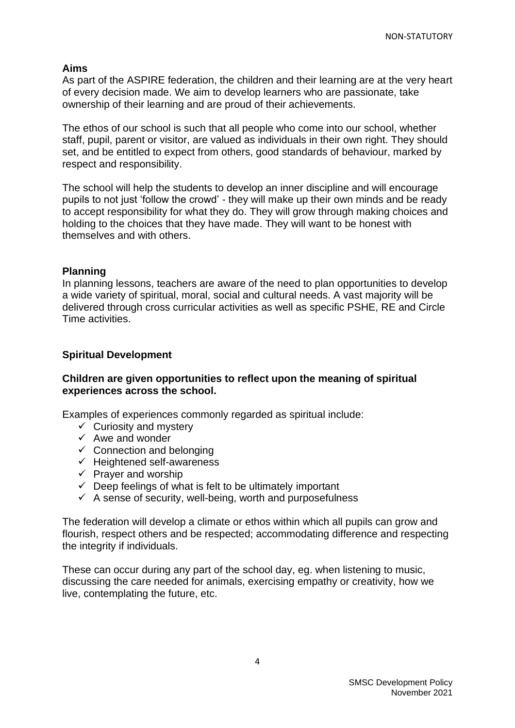#### **Aims**

As part of the ASPIRE federation, the children and their learning are at the very heart of every decision made. We aim to develop learners who are passionate, take ownership of their learning and are proud of their achievements.

The ethos of our school is such that all people who come into our school, whether staff, pupil, parent or visitor, are valued as individuals in their own right. They should set, and be entitled to expect from others, good standards of behaviour, marked by respect and responsibility.

The school will help the students to develop an inner discipline and will encourage pupils to not just 'follow the crowd' - they will make up their own minds and be ready to accept responsibility for what they do. They will grow through making choices and holding to the choices that they have made. They will want to be honest with themselves and with others.

#### **Planning**

In planning lessons, teachers are aware of the need to plan opportunities to develop a wide variety of spiritual, moral, social and cultural needs. A vast majority will be delivered through cross curricular activities as well as specific PSHE, RE and Circle Time activities.

#### **Spiritual Development**

#### **Children are given opportunities to reflect upon the meaning of spiritual experiences across the school.**

Examples of experiences commonly regarded as spiritual include:

- $\checkmark$  Curiosity and mystery
- $\checkmark$  Awe and wonder
- $\checkmark$  Connection and belonging
- $\checkmark$  Heightened self-awareness
- $\checkmark$  Prayer and worship
- $\checkmark$  Deep feelings of what is felt to be ultimately important
- $\checkmark$  A sense of security, well-being, worth and purposefulness

The federation will develop a climate or ethos within which all pupils can grow and flourish, respect others and be respected; accommodating difference and respecting the integrity if individuals.

These can occur during any part of the school day, eg. when listening to music, discussing the care needed for animals, exercising empathy or creativity, how we live, contemplating the future, etc.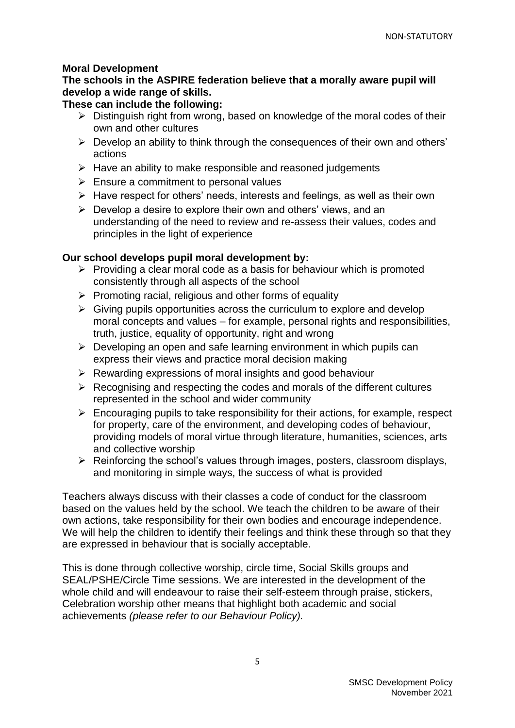#### **Moral Development**

## **The schools in the ASPIRE federation believe that a morally aware pupil will develop a wide range of skills.**

### **These can include the following:**

- $\triangleright$  Distinguish right from wrong, based on knowledge of the moral codes of their own and other cultures
- ➢ Develop an ability to think through the consequences of their own and others' actions
- $\triangleright$  Have an ability to make responsible and reasoned judgements
- $\triangleright$  Ensure a commitment to personal values
- ➢ Have respect for others' needs, interests and feelings, as well as their own
- $\triangleright$  Develop a desire to explore their own and others' views, and an understanding of the need to review and re-assess their values, codes and principles in the light of experience

### **Our school develops pupil moral development by:**

- $\triangleright$  Providing a clear moral code as a basis for behaviour which is promoted consistently through all aspects of the school
- ➢ Promoting racial, religious and other forms of equality
- $\triangleright$  Giving pupils opportunities across the curriculum to explore and develop moral concepts and values – for example, personal rights and responsibilities, truth, justice, equality of opportunity, right and wrong
- $\triangleright$  Developing an open and safe learning environment in which pupils can express their views and practice moral decision making
- ➢ Rewarding expressions of moral insights and good behaviour
- $\triangleright$  Recognising and respecting the codes and morals of the different cultures represented in the school and wider community
- $\triangleright$  Encouraging pupils to take responsibility for their actions, for example, respect for property, care of the environment, and developing codes of behaviour, providing models of moral virtue through literature, humanities, sciences, arts and collective worship
- ➢ Reinforcing the school's values through images, posters, classroom displays, and monitoring in simple ways, the success of what is provided

Teachers always discuss with their classes a code of conduct for the classroom based on the values held by the school. We teach the children to be aware of their own actions, take responsibility for their own bodies and encourage independence. We will help the children to identify their feelings and think these through so that they are expressed in behaviour that is socially acceptable.

This is done through collective worship, circle time, Social Skills groups and SEAL/PSHE/Circle Time sessions. We are interested in the development of the whole child and will endeavour to raise their self-esteem through praise, stickers, Celebration worship other means that highlight both academic and social achievements *(please refer to our Behaviour Policy).*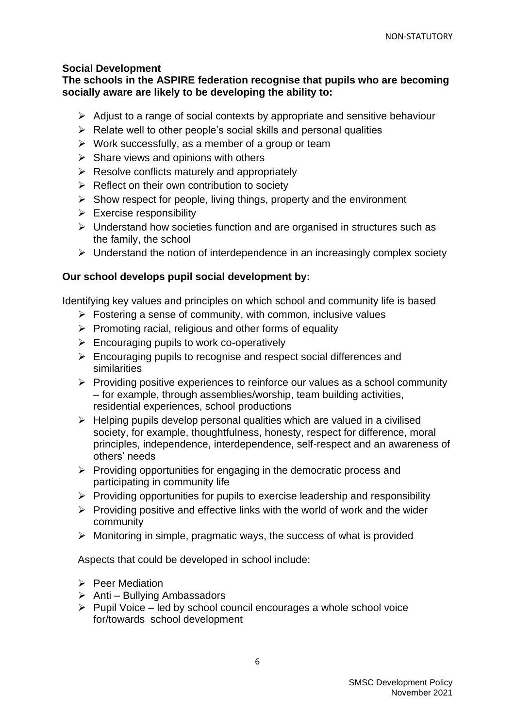#### **Social Development**

**The schools in the ASPIRE federation recognise that pupils who are becoming socially aware are likely to be developing the ability to:** 

- ➢ Adjust to a range of social contexts by appropriate and sensitive behaviour
- $\triangleright$  Relate well to other people's social skills and personal qualities
- $\triangleright$  Work successfully, as a member of a group or team
- $\triangleright$  Share views and opinions with others
- $\triangleright$  Resolve conflicts maturely and appropriately
- $\triangleright$  Reflect on their own contribution to society
- $\triangleright$  Show respect for people, living things, property and the environment
- $\triangleright$  Exercise responsibility
- ➢ Understand how societies function and are organised in structures such as the family, the school
- ➢ Understand the notion of interdependence in an increasingly complex society

#### **Our school develops pupil social development by:**

Identifying key values and principles on which school and community life is based

- $\triangleright$  Fostering a sense of community, with common, inclusive values
- $\triangleright$  Promoting racial, religious and other forms of equality
- $\triangleright$  Encouraging pupils to work co-operatively
- ➢ Encouraging pupils to recognise and respect social differences and similarities
- ➢ Providing positive experiences to reinforce our values as a school community – for example, through assemblies/worship, team building activities, residential experiences, school productions
- $\triangleright$  Helping pupils develop personal qualities which are valued in a civilised society, for example, thoughtfulness, honesty, respect for difference, moral principles, independence, interdependence, self-respect and an awareness of others' needs
- $\triangleright$  Providing opportunities for engaging in the democratic process and participating in community life
- ➢ Providing opportunities for pupils to exercise leadership and responsibility
- $\triangleright$  Providing positive and effective links with the world of work and the wider community
- $\triangleright$  Monitoring in simple, pragmatic ways, the success of what is provided

Aspects that could be developed in school include:

- ➢ Peer Mediation
- $\triangleright$  Anti Bullying Ambassadors
- ➢ Pupil Voice led by school council encourages a whole school voice for/towards school development